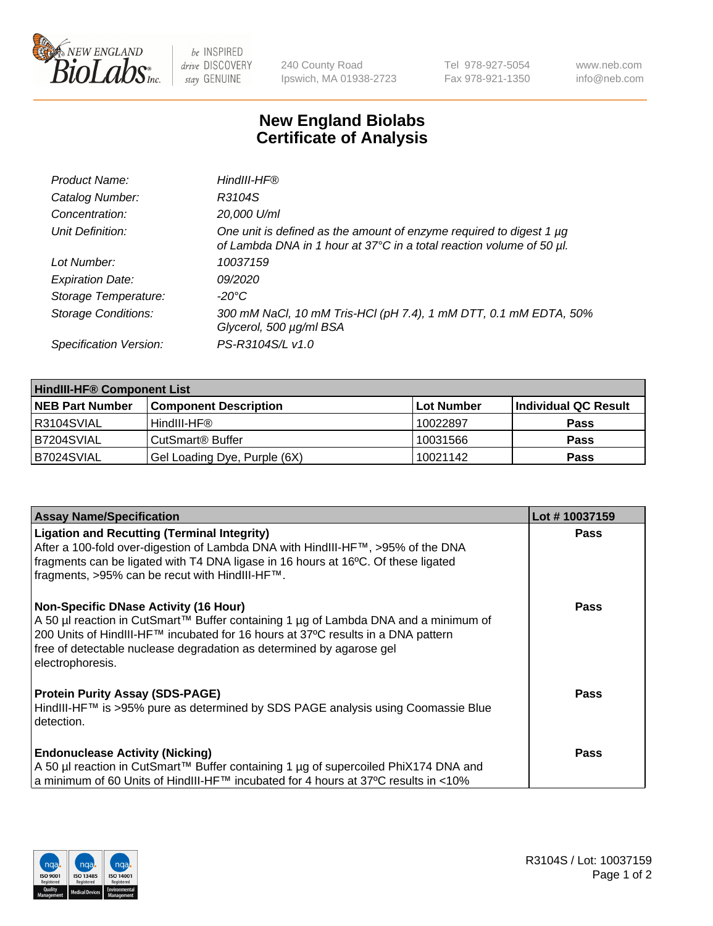

 $be$  INSPIRED drive DISCOVERY stay GENUINE

240 County Road Ipswich, MA 01938-2723 Tel 978-927-5054 Fax 978-921-1350 www.neb.com info@neb.com

## **New England Biolabs Certificate of Analysis**

| Product Name:              | HindIII-HF®                                                                                                                                      |
|----------------------------|--------------------------------------------------------------------------------------------------------------------------------------------------|
| Catalog Number:            | R3104S                                                                                                                                           |
| Concentration:             | 20,000 U/ml                                                                                                                                      |
| Unit Definition:           | One unit is defined as the amount of enzyme required to digest 1 $\mu$ g<br>of Lambda DNA in 1 hour at 37°C in a total reaction volume of 50 µl. |
| Lot Number:                | 10037159                                                                                                                                         |
| <b>Expiration Date:</b>    | 09/2020                                                                                                                                          |
| Storage Temperature:       | -20°C                                                                                                                                            |
| <b>Storage Conditions:</b> | 300 mM NaCl, 10 mM Tris-HCl (pH 7.4), 1 mM DTT, 0.1 mM EDTA, 50%<br>Glycerol, 500 µg/ml BSA                                                      |
| Specification Version:     | PS-R3104S/L v1.0                                                                                                                                 |

| <b>HindIII-HF® Component List</b> |                              |            |                      |  |  |
|-----------------------------------|------------------------------|------------|----------------------|--|--|
| <b>NEB Part Number</b>            | <b>Component Description</b> | Lot Number | Individual QC Result |  |  |
| R3104SVIAL                        | HindIII-HF®                  | 10022897   | <b>Pass</b>          |  |  |
| B7204SVIAL                        | CutSmart <sup>®</sup> Buffer | 10031566   | <b>Pass</b>          |  |  |
| B7024SVIAL                        | Gel Loading Dye, Purple (6X) | 10021142   | <b>Pass</b>          |  |  |

| <b>Assay Name/Specification</b>                                                                                                                                                                                                                                                                                       | Lot #10037159 |
|-----------------------------------------------------------------------------------------------------------------------------------------------------------------------------------------------------------------------------------------------------------------------------------------------------------------------|---------------|
| <b>Ligation and Recutting (Terminal Integrity)</b><br>After a 100-fold over-digestion of Lambda DNA with HindIII-HF™, >95% of the DNA<br>fragments can be ligated with T4 DNA ligase in 16 hours at 16°C. Of these ligated<br>fragments, >95% can be recut with HindIII-HF™.                                          | <b>Pass</b>   |
| <b>Non-Specific DNase Activity (16 Hour)</b><br>  A 50 µl reaction in CutSmart™ Buffer containing 1 µg of Lambda DNA and a minimum of<br>200 Units of HindIII-HF™ incubated for 16 hours at 37°C results in a DNA pattern<br>free of detectable nuclease degradation as determined by agarose gel<br>electrophoresis. | <b>Pass</b>   |
| <b>Protein Purity Assay (SDS-PAGE)</b><br>HindIII-HF™ is >95% pure as determined by SDS PAGE analysis using Coomassie Blue<br>detection.                                                                                                                                                                              | <b>Pass</b>   |
| <b>Endonuclease Activity (Nicking)</b><br>A 50 µl reaction in CutSmart™ Buffer containing 1 µg of supercoiled PhiX174 DNA and<br>  a minimum of 60 Units of HindIII-HF™ incubated for 4 hours at 37°C results in <10%                                                                                                 | <b>Pass</b>   |